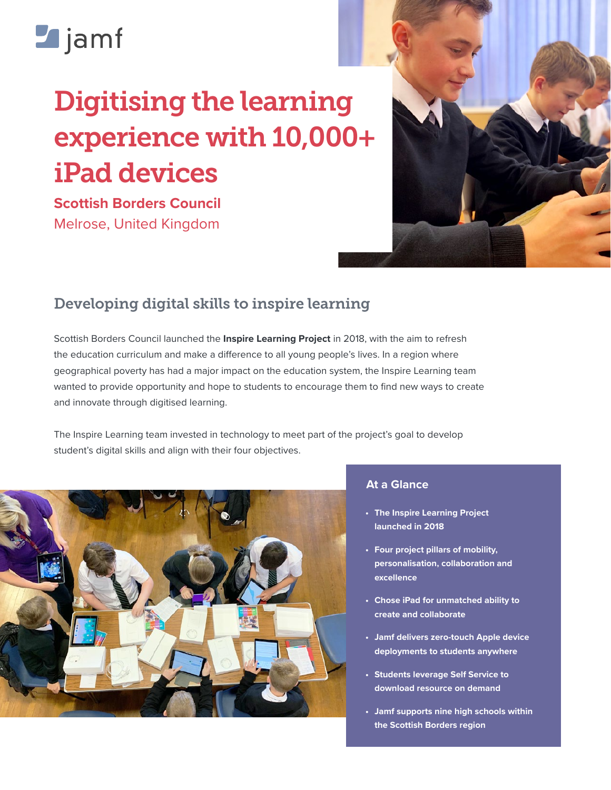# **Z**jamf

# Digitising the learning experience with 10,000+ iPad devices

**Scottish Borders Council**  Melrose, United Kingdom



## Developing digital skills to inspire learning

Scottish Borders Council launched the **[Inspire Learning Project](https://www.scotborders.gov.uk/info/20009/schools_and_learning/913/inspire_learning)** in 2018, with the aim to refresh the education curriculum and make a difference to all young people's lives. In a region where geographical poverty has had a major impact on the education system, the Inspire Learning team wanted to provide opportunity and hope to students to encourage them to find new ways to create and innovate through digitised learning.

The Inspire Learning team invested in technology to meet part of the project's goal to develop student's digital skills and align with their four objectives.



#### **At a Glance**

- **• The Inspire Learning Project launched in 2018**
- **• Four project pillars of mobility, personalisation, collaboration and excellence**
- **• Chose iPad for unmatched ability to create and collaborate**
- **• Jamf delivers zero-touch Apple device deployments to students anywhere**
- **• Students leverage Self Service to download resource on demand**
- **• Jamf supports nine high schools within the Scottish Borders region**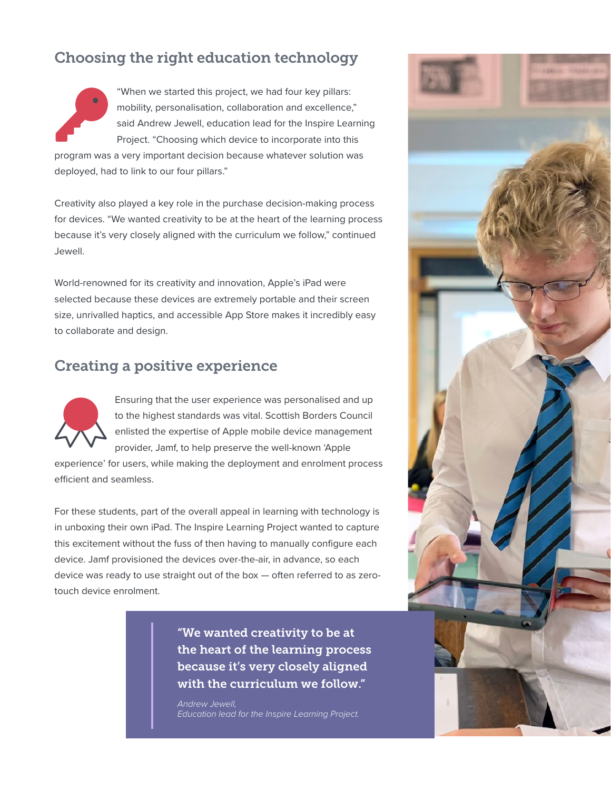### Choosing the right education technology



"When we started this project, we had four key pillars: mobility, personalisation, collaboration and excellence," said Andrew Jewell, education lead for the Inspire Learning Project. "Choosing which device to incorporate into this

program was a very important decision because whatever solution was deployed, had to link to our four pillars."

Creativity also played a key role in the purchase decision-making process for devices. "We wanted creativity to be at the heart of the learning process because it's very closely aligned with the curriculum we follow," continued Jewell.

World-renowned for its creativity and innovation, Apple's iPad were selected because these devices are extremely portable and their screen size, unrivalled haptics, and accessible App Store makes it incredibly easy to collaborate and design.

#### Creating a positive experience



Ensuring that the user experience was personalised and up to the highest standards was vital. Scottish Borders Council enlisted the expertise of Apple mobile device management provider, Jamf, to help preserve the well-known 'Apple

experience' for users, while making the deployment and enrolment process efficient and seamless.

For these students, part of the overall appeal in learning with technology is in unboxing their own iPad. The Inspire Learning Project wanted to capture this excitement without the fuss of then having to manually configure each device. Jamf provisioned the devices over-the-air, in advance, so each device was ready to use straight out of the box — often referred to as zerotouch device enrolment.

> "We wanted creativity to be at the heart of the learning process because it's very closely aligned with the curriculum we follow."

*Andrew Jewell, Education lead for the Inspire Learning Project.*

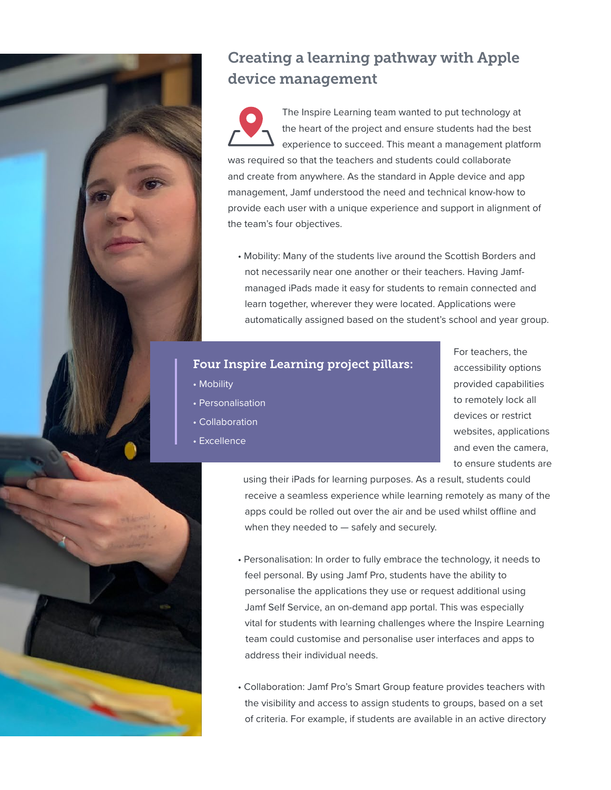

## Creating a learning pathway with Apple device management

The Inspire Learning team wanted to put technology at the heart of the project and ensure students had the best experience to succeed. This meant a management platform was required so that the teachers and students could collaborate and create from anywhere. As the standard in Apple device and app management, Jamf understood the need and technical know-how to provide each user with a unique experience and support in alignment of the team's four objectives.

• Mobility: Many of the students live around the Scottish Borders and not necessarily near one another or their teachers. Having Jamf managed iPads made it easy for students to remain connected and learn together, wherever they were located. Applications were automatically assigned based on the student's school and year group.

#### Four Inspire Learning project pillars:

- Mobility
- Personalisation
- Collaboration
- Excellence

For teachers, the accessibility options provided capabilities to remotely lock all devices or restrict websites, applications and even the camera, to ensure students are

 using their iPads for learning purposes. As a result, students could receive a seamless experience while learning remotely as many of the apps could be rolled out over the air and be used whilst offline and when they needed to — safely and securely.

- Personalisation: In order to fully embrace the technology, it needs to feel personal. By using Jamf Pro, students have the ability to personalise the applications they use or request additional using Jamf Self Service, an on-demand app portal. This was especially vital for students with learning challenges where the Inspire Learning team could customise and personalise user interfaces and apps to address their individual needs.
- Collaboration: Jamf Pro's Smart Group feature provides teachers with the visibility and access to assign students to groups, based on a set of criteria. For example, if students are available in an active directory